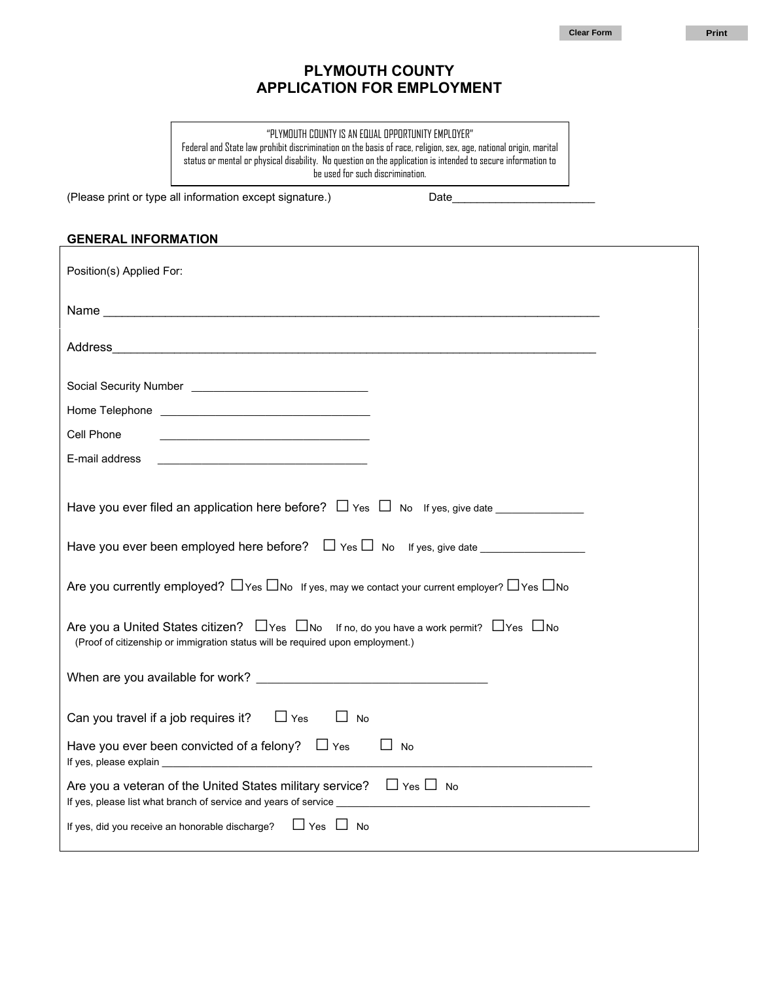**Clear Form Print** 

## **PLYMOUTH COUNTY APPLICATION FOR EMPLOYMENT**

"PLYMOUTH COUNTY IS AN EQUAL OPPORTUNITY EMPLOYER" Federal and State law prohibit discrimination on the basis of race, religion, sex, age, national origin, marital status or mental or physical disability. No question on the application is intended to secure information to be used for such discrimination.

(Please print or type all information except signature.) Date

# **GENERAL INFORMATION** Position(s) Applied For: Name \_\_\_\_\_\_\_\_\_\_\_\_\_\_\_\_\_\_\_\_\_\_\_\_\_\_\_\_\_\_\_\_\_\_\_\_\_\_\_\_\_\_\_\_\_\_\_\_\_\_\_\_\_\_\_\_\_\_\_\_\_\_\_\_\_\_\_\_\_\_\_\_\_\_\_\_\_\_\_\_ Address\_\_\_\_\_\_\_\_\_\_\_\_\_\_\_\_\_\_\_\_\_\_\_\_\_\_\_\_\_\_\_\_\_\_\_\_\_\_\_\_\_\_\_\_\_\_\_\_\_\_\_\_\_\_\_\_\_\_\_\_\_\_\_\_\_\_\_\_\_\_\_\_\_\_\_\_\_\_ Social Security Number \_\_\_\_\_\_\_\_\_\_\_\_\_\_\_\_\_\_\_\_\_\_\_\_\_\_\_\_\_\_\_\_ Home Telephone **Example 20** Cell Phone E-mail address Have you ever filed an application here before?  $\Box$  Yes  $\Box$  No If yes, give date Have you ever been employed here before?  $\Box$  Yes  $\Box$  No If yes, give date Are you currently employed?  $\Box$  Yes  $\Box$  No If yes, may we contact your current employer?  $\Box$  Yes  $\Box$  No Are you a United States citizen?  $\Box$  Yes  $\Box$  No If no, do you have a work permit?  $\Box$  Yes  $\Box$  No (Proof of citizenship or immigration status will be required upon employment.) When are you available for work? Can you travel if a job requires it?  $\square$  Yes  $\square$  No Have you ever been convicted of a felony?  $\square$  Yes  $\square$  No If yes, please explain Are you a veteran of the United States military service?  $\Box$  Yes  $\Box$  No If yes, please list what branch of service and years of service If yes, did you receive an honorable discharge?  $\Box$  Yes  $\Box$  No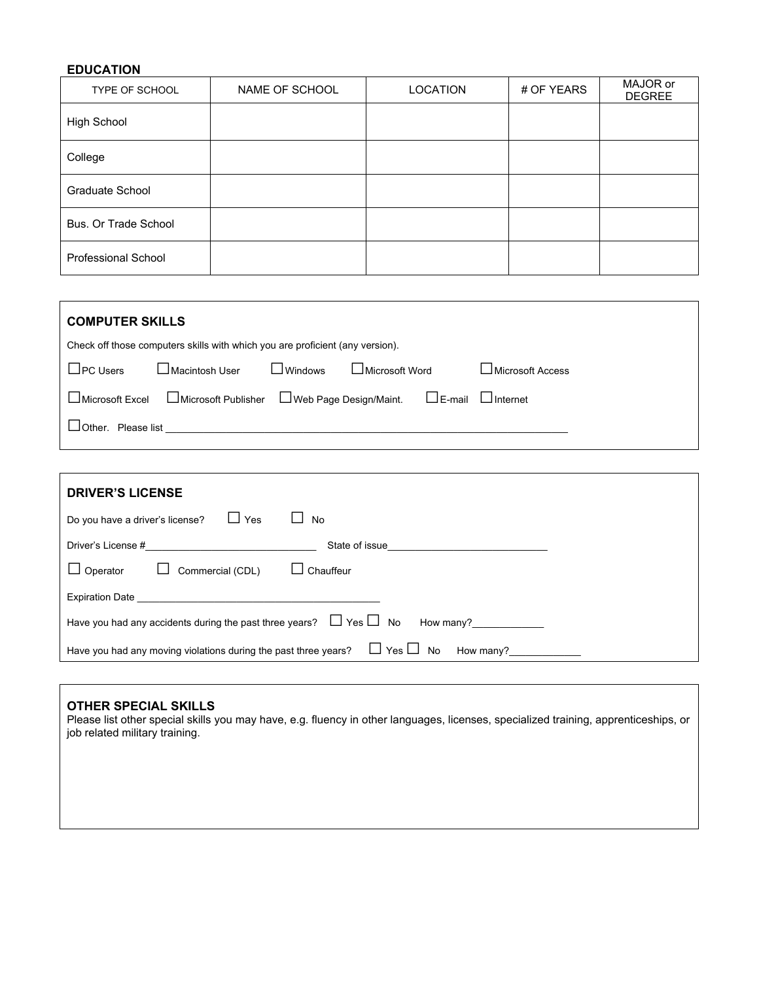## **EDUCATION**

| TYPE OF SCHOOL       | NAME OF SCHOOL | <b>LOCATION</b> | # OF YEARS | MAJOR or<br><b>DEGREE</b> |
|----------------------|----------------|-----------------|------------|---------------------------|
| High School          |                |                 |            |                           |
| College              |                |                 |            |                           |
| Graduate School      |                |                 |            |                           |
| Bus. Or Trade School |                |                 |            |                           |
| Professional School  |                |                 |            |                           |

| <b>COMPUTER SKILLS</b>                                                        |                                                           |                |                 |  |                  |
|-------------------------------------------------------------------------------|-----------------------------------------------------------|----------------|-----------------|--|------------------|
| Check off those computers skills with which you are proficient (any version). |                                                           |                |                 |  |                  |
| $\Box$ PC Users                                                               | ∟Macintosh User                                           | $\Box$ Windows | ∟Microsoft Word |  | Microsoft Access |
| $\Box$ Microsoft Excel                                                        | □ Microsoft Publisher □ Web Page Design/Maint. □ □ E-mail |                |                 |  | $\Box$ Internet  |
| Please list<br>⊿Other.                                                        |                                                           |                |                 |  |                  |
|                                                                               |                                                           |                |                 |  |                  |

| <b>DRIVER'S LICENSE</b>                                                                                   |  |  |  |  |
|-----------------------------------------------------------------------------------------------------------|--|--|--|--|
| □ Yes<br>Do you have a driver's license?<br>No                                                            |  |  |  |  |
| Driver's License #<br>State of issue                                                                      |  |  |  |  |
| $\Box$ Chauffeur<br>$\Box$ Operator<br>Commercial (CDL)                                                   |  |  |  |  |
| <b>Expiration Date</b>                                                                                    |  |  |  |  |
| Have you had any accidents during the past three years? $\Box$ Yes $\Box$ No<br>How many? $\qquad \qquad$ |  |  |  |  |
| $\Box$ Yes $\Box$<br>No<br>Have you had any moving violations during the past three years?<br>How many?   |  |  |  |  |

## **OTHER SPECIAL SKILLS**

Please list other special skills you may have, e.g. fluency in other languages, licenses, specialized training, apprenticeships, or job related military training.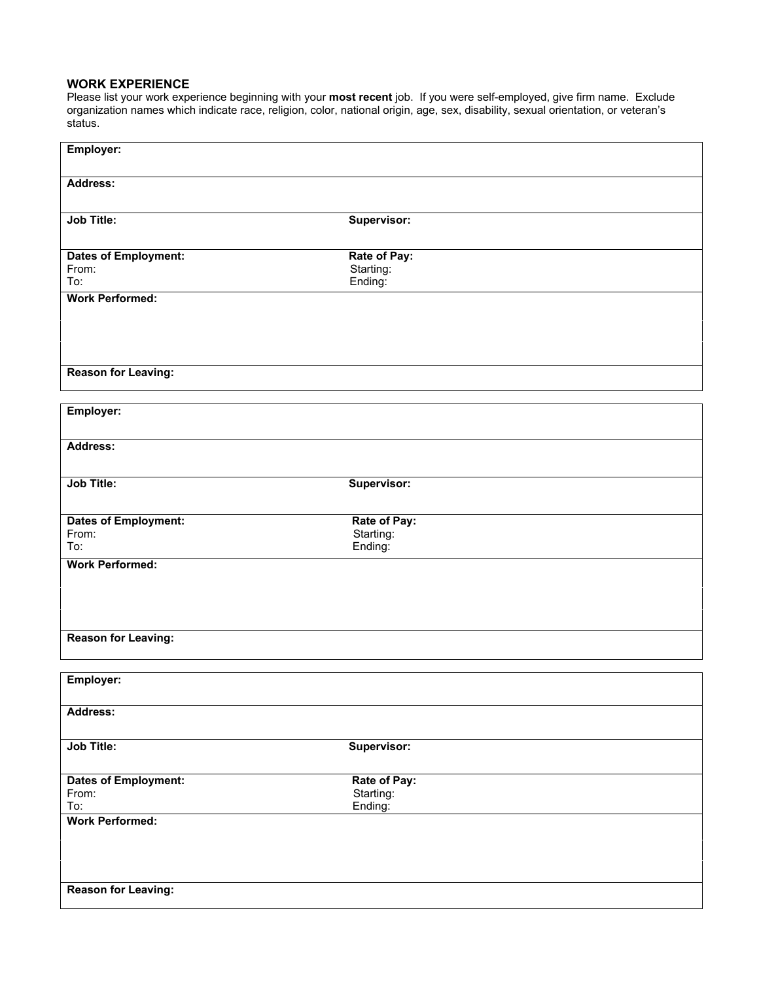## **WORK EXPERIENCE**

Please list your work experience beginning with your **most recent** job. If you were self-employed, give firm name. Exclude organization names which indicate race, religion, color, national origin, age, sex, disability, sexual orientation, or veteran's status.

| Employer:                     |                      |
|-------------------------------|----------------------|
| Address:                      |                      |
| <b>Job Title:</b>             | Supervisor:          |
| <b>Dates of Employment:</b>   | Rate of Pay:         |
| From:                         | Starting:            |
| To:<br><b>Work Performed:</b> | Ending:              |
|                               |                      |
|                               |                      |
|                               |                      |
|                               |                      |
| <b>Reason for Leaving:</b>    |                      |
|                               |                      |
| Employer:                     |                      |
| Address:                      |                      |
|                               |                      |
| <b>Job Title:</b>             | Supervisor:          |
|                               |                      |
| <b>Dates of Employment:</b>   | Rate of Pay:         |
| From:<br>To:                  | Starting:<br>Ending: |
| <b>Work Performed:</b>        |                      |
|                               |                      |
|                               |                      |
|                               |                      |
| <b>Reason for Leaving:</b>    |                      |
|                               |                      |
|                               |                      |
| Employer:                     |                      |
| Address:                      |                      |
|                               |                      |
| Job Title:                    | Supervisor:          |
|                               |                      |
| <b>Dates of Employment:</b>   | Rate of Pay:         |
| From:<br>To:                  | Starting:<br>Ending: |
| <b>Work Performed:</b>        |                      |
|                               |                      |
|                               |                      |
|                               |                      |
| <b>Reason for Leaving:</b>    |                      |
|                               |                      |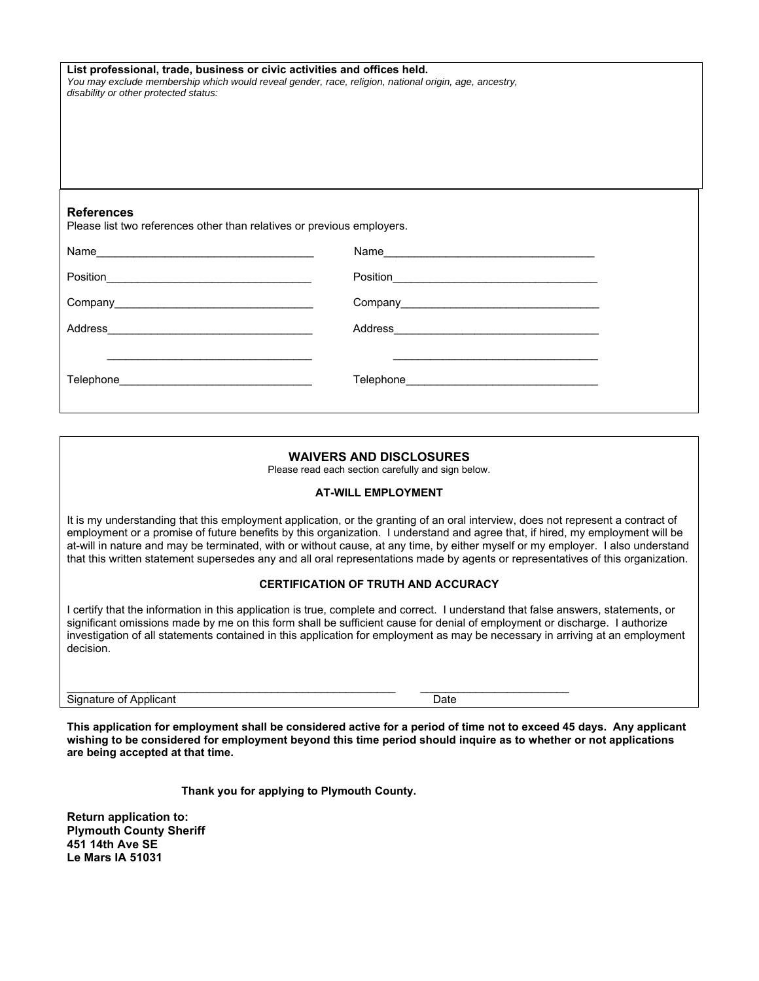| List professional, trade, business or civic activities and offices held.<br>You may exclude membership which would reveal gender, race, religion, national origin, age, ancestry,<br>disability or other protected status: |                                                                                                                      |  |  |  |
|----------------------------------------------------------------------------------------------------------------------------------------------------------------------------------------------------------------------------|----------------------------------------------------------------------------------------------------------------------|--|--|--|
| <b>References</b><br>Please list two references other than relatives or previous employers.                                                                                                                                |                                                                                                                      |  |  |  |
|                                                                                                                                                                                                                            |                                                                                                                      |  |  |  |
|                                                                                                                                                                                                                            |                                                                                                                      |  |  |  |
|                                                                                                                                                                                                                            |                                                                                                                      |  |  |  |
|                                                                                                                                                                                                                            |                                                                                                                      |  |  |  |
|                                                                                                                                                                                                                            | <u> 1980 - Johann John Stone, markin film ar yn y breninnas yn y breninnas y breninnas y breninnas y breninnas y</u> |  |  |  |

## **WAIVERS AND DISCLOSURES**

Please read each section carefully and sign below.

#### **AT-WILL EMPLOYMENT**

It is my understanding that this employment application, or the granting of an oral interview, does not represent a contract of employment or a promise of future benefits by this organization. I understand and agree that, if hired, my employment will be at-will in nature and may be terminated, with or without cause, at any time, by either myself or my employer. I also understand that this written statement supersedes any and all oral representations made by agents or representatives of this organization.

#### **CERTIFICATION OF TRUTH AND ACCURACY**

I certify that the information in this application is true, complete and correct. I understand that false answers, statements, or significant omissions made by me on this form shall be sufficient cause for denial of employment or discharge. I authorize investigation of all statements contained in this application for employment as may be necessary in arriving at an employment decision.

Signature of Applicant Date **Date** 

**This application for employment shall be considered active for a period of time not to exceed 45 days. Any applicant wishing to be considered for employment beyond this time period should inquire as to whether or not applications are being accepted at that time.** 

**Thank you for applying to Plymouth County.**

\_\_\_\_\_\_\_\_\_\_\_\_\_\_\_\_\_\_\_\_\_\_\_\_\_\_\_\_\_\_\_\_\_\_\_\_\_\_\_\_\_\_\_\_\_\_\_\_\_\_\_\_\_ \_\_\_\_\_\_\_\_\_\_\_\_\_\_\_\_\_\_\_\_\_\_\_\_

**Return application to: Plymouth County Sheriff 451 14th Ave SE Le Mars IA 51031**